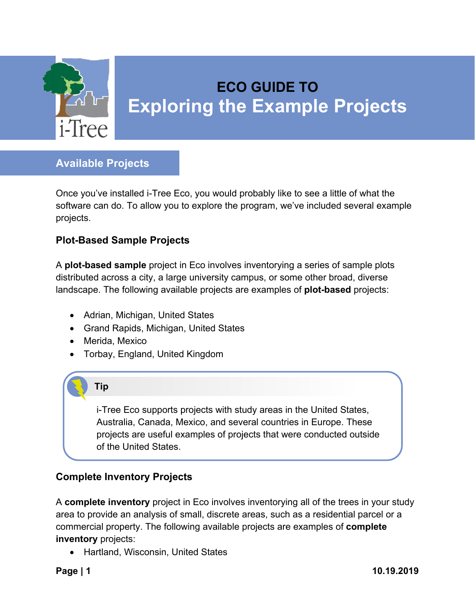

# **ECO GUIDE TO Exploring the Example Projects**

## **Available Projects**

Once you've installed i-Tree Eco, you would probably like to see a little of what the software can do. To allow you to explore the program, we've included several example projects.

### **Plot-Based Sample Projects**

A **plot-based sample** project in Eco involves inventorying a series of sample plots distributed across a city, a large university campus, or some other broad, diverse landscape. The following available projects are examples of **plot-based** projects:

- Adrian, Michigan, United States
- Grand Rapids, Michigan, United States
- Merida, Mexico
- Torbay, England, United Kingdom

## **Tip**

i-Tree Eco supports projects with study areas in the United States, Australia, Canada, Mexico, and several countries in Europe. These projects are useful examples of projects that were conducted outside of the United States.

## **Complete Inventory Projects**

A **complete inventory** project in Eco involves inventorying all of the trees in your study area to provide an analysis of small, discrete areas, such as a residential parcel or a commercial property. The following available projects are examples of **complete inventory** projects:

• Hartland, Wisconsin, United States